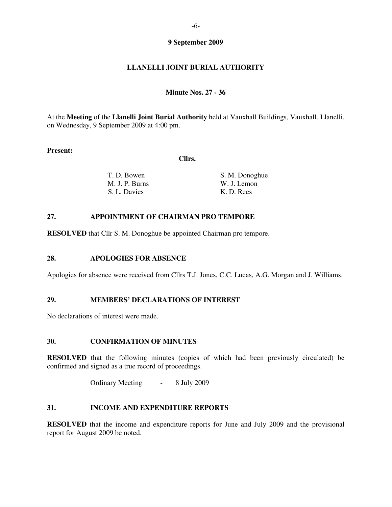### **9 September 2009**

# **LLANELLI JOINT BURIAL AUTHORITY**

#### **Minute Nos. 27 - 36**

At the **Meeting** of the **Llanelli Joint Burial Authority** held at Vauxhall Buildings, Vauxhall, Llanelli, on Wednesday, 9 September 2009 at 4:00 pm.

#### **Present:**

 **Cllrs.** 

| T. D. Bowen    | S. M. Donoghue |
|----------------|----------------|
| M. J. P. Burns | W. J. Lemon    |
| S. L. Davies   | K. D. Rees     |

#### **27. APPOINTMENT OF CHAIRMAN PRO TEMPORE**

**RESOLVED** that Cllr S. M. Donoghue be appointed Chairman pro tempore.

### **28. APOLOGIES FOR ABSENCE**

Apologies for absence were received from Cllrs T.J. Jones, C.C. Lucas, A.G. Morgan and J. Williams.

### **29. MEMBERS' DECLARATIONS OF INTEREST**

No declarations of interest were made.

#### **30. CONFIRMATION OF MINUTES**

**RESOLVED** that the following minutes (copies of which had been previously circulated) be confirmed and signed as a true record of proceedings.

Ordinary Meeting - 8 July 2009

### **31. INCOME AND EXPENDITURE REPORTS**

**RESOLVED** that the income and expenditure reports for June and July 2009 and the provisional report for August 2009 be noted.